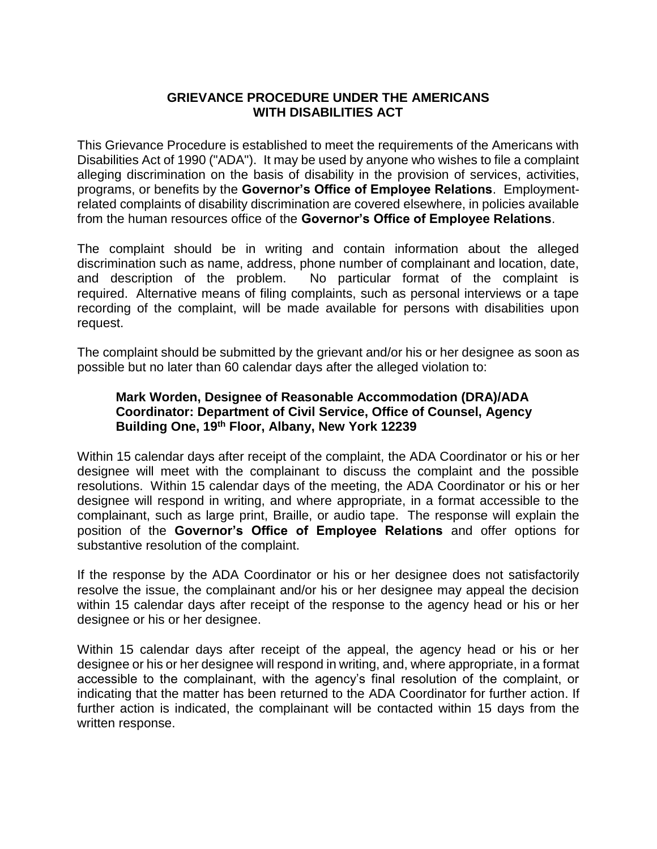## **GRIEVANCE PROCEDURE UNDER THE AMERICANS WITH DISABILITIES ACT**

This Grievance Procedure is established to meet the requirements of the Americans with Disabilities Act of 1990 ("ADA"). It may be used by anyone who wishes to file a complaint alleging discrimination on the basis of disability in the provision of services, activities, programs, or benefits by the **Governor's Office of Employee Relations**. Employmentrelated complaints of disability discrimination are covered elsewhere, in policies available from the human resources office of the **Governor's Office of Employee Relations**.

The complaint should be in writing and contain information about the alleged discrimination such as name, address, phone number of complainant and location, date, and description of the problem. No particular format of the complaint is required. Alternative means of filing complaints, such as personal interviews or a tape recording of the complaint, will be made available for persons with disabilities upon request.

The complaint should be submitted by the grievant and/or his or her designee as soon as possible but no later than 60 calendar days after the alleged violation to:

## **Mark Worden, Designee of Reasonable Accommodation (DRA)/ADA Coordinator: Department of Civil Service, Office of Counsel, Agency Building One, 19th Floor, Albany, New York 12239**

Within 15 calendar days after receipt of the complaint, the ADA Coordinator or his or her designee will meet with the complainant to discuss the complaint and the possible resolutions. Within 15 calendar days of the meeting, the ADA Coordinator or his or her designee will respond in writing, and where appropriate, in a format accessible to the complainant, such as large print, Braille, or audio tape. The response will explain the position of the **Governor's Office of Employee Relations** and offer options for substantive resolution of the complaint.

If the response by the ADA Coordinator or his or her designee does not satisfactorily resolve the issue, the complainant and/or his or her designee may appeal the decision within 15 calendar days after receipt of the response to the agency head or his or her designee or his or her designee.

Within 15 calendar days after receipt of the appeal, the agency head or his or her designee or his or her designee will respond in writing, and, where appropriate, in a format accessible to the complainant, with the agency's final resolution of the complaint, or indicating that the matter has been returned to the ADA Coordinator for further action. If further action is indicated, the complainant will be contacted within 15 days from the written response.